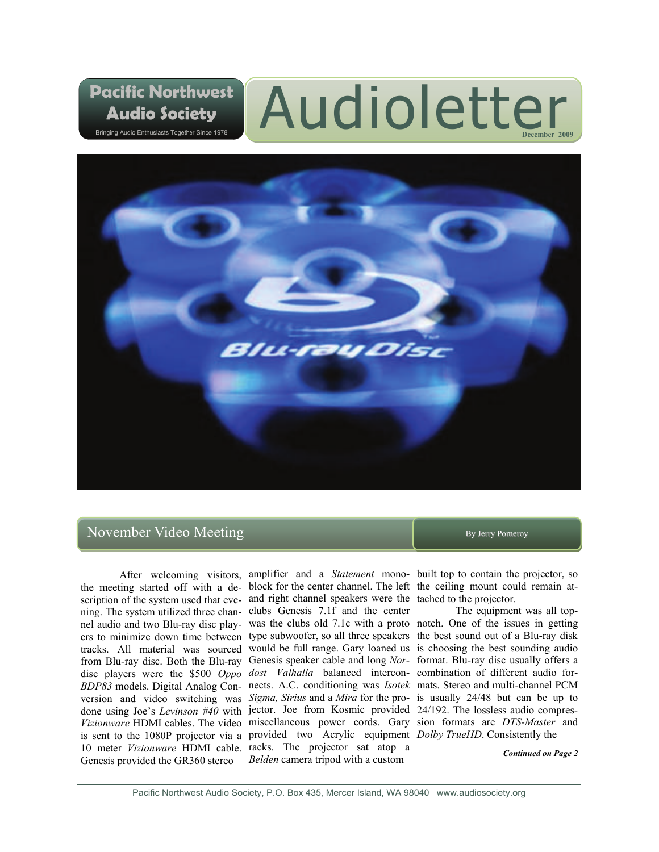# Audioletter



# November Video Meeting By Jerry Pomeroy

**Pacific Northwest** 

**Audio Society** Bringing Audio Enthusiasts Together Since 1978

After welcoming visitors, amplifier and a *Statement* mono-built top to contain the projector, so the meeting started off with a de-block for the center channel. The left the ceiling mount could remain atscription of the system used that eve- and right channel speakers were the tached to the projector. ning. The system utilized three chan-clubs Genesis 7.1f and the center nel audio and two Blu-ray disc play-was the clubs old 7.1c with a proto notch. One of the issues in getting ers to minimize down time between type subwoofer, so all three speakers the best sound out of a Blu-ray disk tracks. All material was sourced would be full range. Gary loaned us is choosing the best sounding audio from Blu-ray disc. Both the Blu-ray Genesis speaker cable and long *Nor-*format. Blu-ray disc usually offers a disc players were the \$500 *Oppo dost Valhalla* balanced intercon-combination of different audio for-*BDP83* models. Digital Analog Con-nects. A.C. conditioning was *Isotek*  mats. Stereo and multi-channel PCM version and video switching was *Sigma, Sirius* and a *Mira* for the pro-is usually 24/48 but can be up to done using Joe's *Levinson #40* with jector. Joe from Kosmic provided 24/192. The lossless audio compres-*Vizionware* HDMI cables. The video miscellaneous power cords. Gary sion formats are *DTS-Master* and is sent to the 1080P projector via a provided two Acrylic equipment *Dolby TrueHD*. Consistently the 10 meter *Vizionware* HDMI cable. racks. The projector sat atop a Genesis provided the GR360 stereo *Belden* camera tripod with a custom

The equipment was all top-

*Continued on Page 2*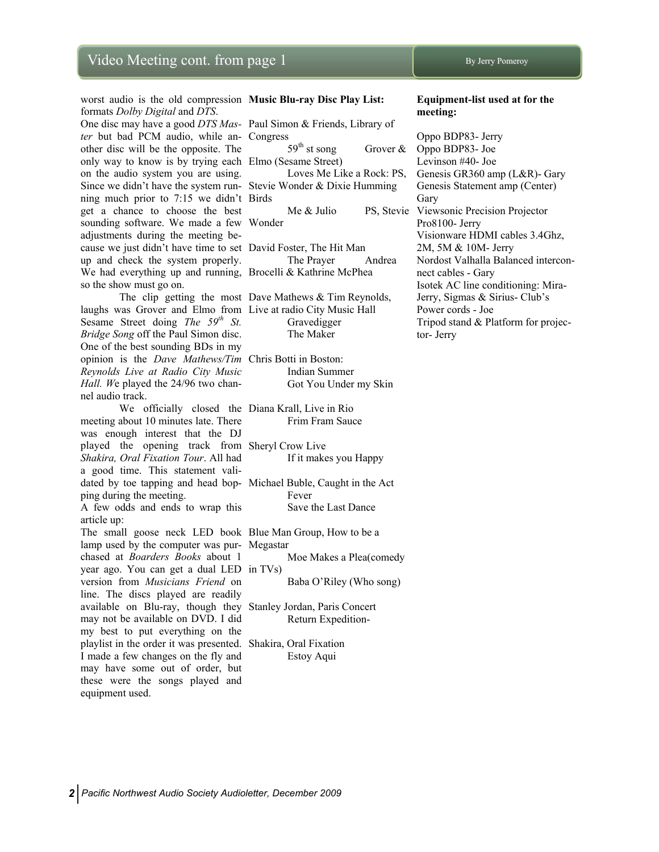worst audio is the old compression **Music Blu-ray Disc Play List:**  formats *Dolby Digital* and *DTS*.

*ter* but bad PCM audio, while an-Congress other disc will be the opposite. The only way to know is by trying each Elmo (Sesame Street) on the audio system you are using. Since we didn't have the system run-Stevie Wonder & Dixie Humming ning much prior to 7:15 we didn't Birds get a chance to choose the best sounding software. We made a few Wonder adjustments during the meeting because we just didn't have time to set David Foster, The Hit Man up and check the system properly. We had everything up and running, Brocelli & Kathrine McPhea so the show must go on.

 The clip getting the most Dave Mathews & Tim Reynolds, laughs was Grover and Elmo from Live at radio City Music Hall Sesame Street doing *The 59th St. Bridge Song* off the Paul Simon disc. One of the best sounding BDs in my opinion is the *Dave Mathews/Tim*  Chris Botti in Boston: *Reynolds Live at Radio City Music Hall. W*e played the 24/96 two channel audio track.

 We officially closed the Diana Krall, Live in Rio meeting about 10 minutes late. There was enough interest that the DJ played the opening track from Sheryl Crow Live *Shakira, Oral Fixation Tour*. All had a good time. This statement validated by toe tapping and head bop-Michael Buble, Caught in the Act ping during the meeting.

A few odds and ends to wrap this article up:

The small goose neck LED book Blue Man Group, How to be a lamp used by the computer was pur-Megastar chased at *Boarders Books* about 1 year ago. You can get a dual LED in TVs) version from *Musicians Friend* on line. The discs played are readily available on Blu-ray, though they Stanley Jordan, Paris Concert may not be available on DVD. I did my best to put everything on the playlist in the order it was presented. Shakira, Oral Fixation I made a few changes on the fly and may have some out of order, but these were the songs played and equipment used.

One disc may have a good *DTS Mas-*Paul Simon & Friends, Library of  $59<sup>th</sup>$  st song Grover & Loves Me Like a Rock: PS,

The Prayer Andrea

 Gravedigger The Maker

> Indian Summer Got You Under my Skin

Frim Fram Sauce

If it makes you Happy

 Fever Save the Last Dance

Moe Makes a Plea(comedy

Baba O'Riley (Who song)

Return Expedition-

Estoy Aqui

#### **Equipment-list used at for the meeting:**

 Me & Julio PS, Stevie Viewsonic Precision Projector Oppo BDP83- Jerry Oppo BDP83- Joe Levinson #40- Joe Genesis GR360 amp (L&R)- Gary Genesis Statement amp (Center) Gary Pro8100- Jerry Visionware HDMI cables 3.4Ghz, 2M, 5M & 10M- Jerry Nordost Valhalla Balanced interconnect cables - Gary Isotek AC line conditioning: Mira-Jerry, Sigmas & Sirius- Club's Power cords - Joe Tripod stand & Platform for projector- Jerry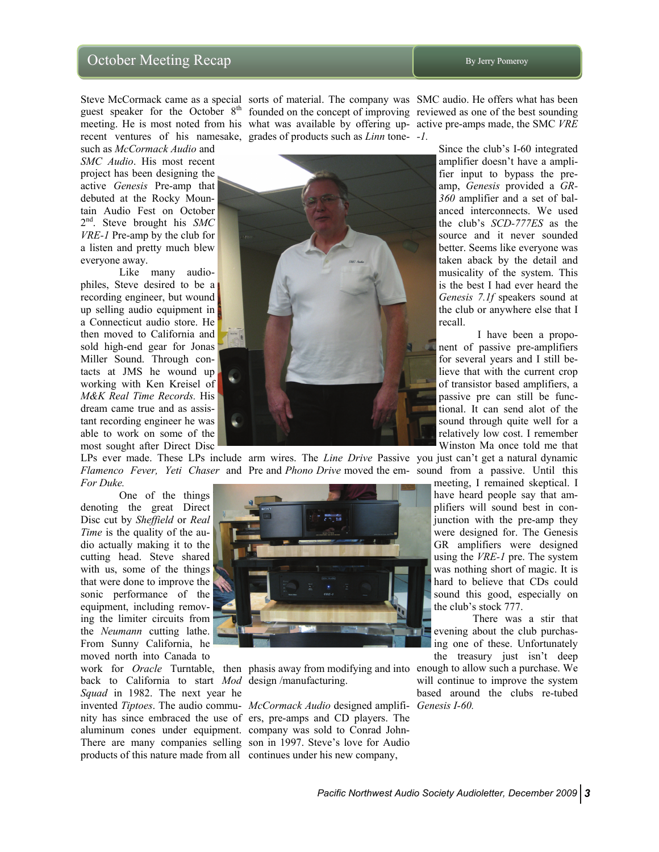# October Meeting Recap By Jerry Pomeroy

such as *McCormack Audio* and *SMC Audio*. His most recent project has been designing the active *Genesis* Pre-amp that debuted at the Rocky Mountain Audio Fest on October 2nd. Steve brought his *SMC VRE-1* Pre-amp by the club for a listen and pretty much blew everyone away.

 Like many audiophiles, Steve desired to be a recording engineer, but wound up selling audio equipment in a Connecticut audio store. He then moved to California and sold high-end gear for Jonas Miller Sound. Through contacts at JMS he wound up working with Ken Kreisel of *M&K Real Time Records.* His dream came true and as assistant recording engineer he was able to work on some of the most sought after Direct Disc

*Flamenco Fever, Yeti Chaser* and Pre and *Phono Drive* moved the em-sound from a passive. Until this *For Duke.*

 One of the things denoting the great Direct Disc cut by *Sheffield* or *Real Time* is the quality of the audio actually making it to the cutting head. Steve shared with us, some of the things that were done to improve the sonic performance of the equipment, including removing the limiter circuits from the *Neumann* cutting lathe. From Sunny California, he moved north into Canada to

back to California to start *Mod*  design /manufacturing. *Squad* in 1982. The next year he invented *Tiptoes*. The audio commu-*McCormack Audio* designed amplifi-*Genesis I-60.* aluminum cones under equipment. company was sold to Conrad Johnproducts of this nature made from all continues under his new company,

recent ventures of his namesake, grades of products such as *Linn* tone-*-1.*



LPs ever made. These LPs include arm wires. The *Line Drive* Passive you just can't get a natural dynamic



nity has since embraced the use of ers, pre-amps and CD players. The There are many companies selling son in 1997. Steve's love for Audio

Steve McCormack came as a special sorts of material. The company was SMC audio. He offers what has been guest speaker for the October 8<sup>th</sup> founded on the concept of improving reviewed as one of the best sounding meeting. He is most noted from his what was available by offering up-active pre-amps made, the SMC *VRE*

> Since the club's I-60 integrated amplifier doesn't have a amplifier input to bypass the preamp, *Genesis* provided a *GR-360* amplifier and a set of balanced interconnects. We used the club's *SCD-777ES* as the source and it never sounded better. Seems like everyone was taken aback by the detail and musicality of the system. This is the best I had ever heard the *Genesis 7.1f* speakers sound at the club or anywhere else that I recall.

> I have been a proponent of passive pre-amplifiers for several years and I still believe that with the current crop of transistor based amplifiers, a passive pre can still be functional. It can send alot of the sound through quite well for a relatively low cost. I remember Winston Ma once told me that

meeting, I remained skeptical. I have heard people say that amplifiers will sound best in conjunction with the pre-amp they were designed for. The Genesis GR amplifiers were designed using the *VRE-1* pre. The system was nothing short of magic. It is hard to believe that CDs could sound this good, especially on the club's stock 777.

 There was a stir that evening about the club purchasing one of these. Unfortunately the treasury just isn't deep

work for *Oracle* Turntable, then phasis away from modifying and into enough to allow such a purchase. We will continue to improve the system based around the clubs re-tubed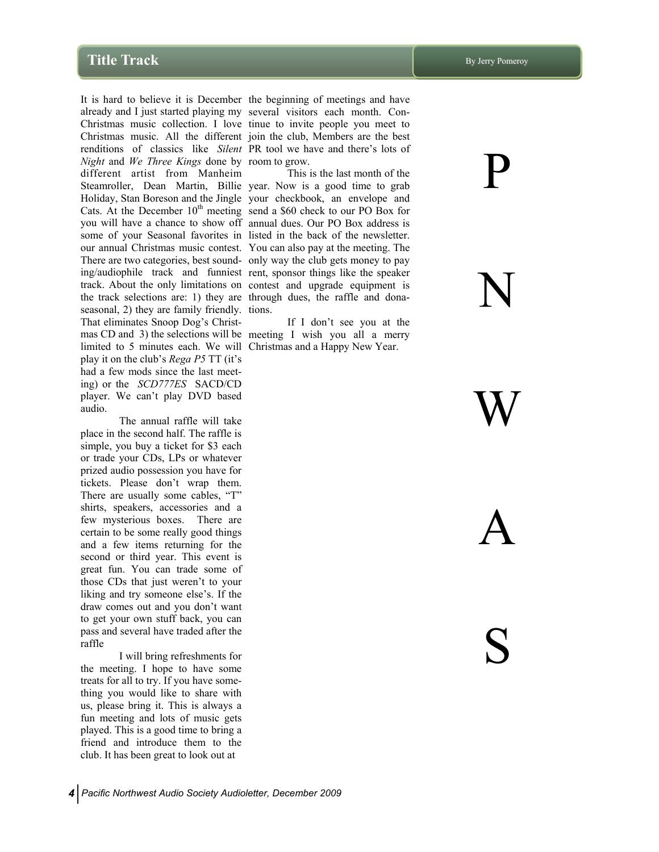It is hard to believe it is December the beginning of meetings and have already and I just started playing my several visitors each month. Con-Christmas music collection. I love tinue to invite people you meet to Christmas music. All the different join the club, Members are the best renditions of classics like *Silent*  PR tool we have and there's lots of *Night* and *We Three Kings* done by room to grow. different artist from Manheim Steamroller, Dean Martin, Billie year. Now is a good time to grab Holiday, Stan Boreson and the Jingle your checkbook, an envelope and Cats. At the December  $10<sup>th</sup>$  meeting send a \$60 check to our PO Box for you will have a chance to show off annual dues. Our PO Box address is some of your Seasonal favorites in listed in the back of the newsletter. our annual Christmas music contest. You can also pay at the meeting. The There are two categories, best sound-only way the club gets money to pay ing/audiophile track and funniest rent, sponsor things like the speaker track. About the only limitations on contest and upgrade equipment is the track selections are: 1) they are through dues, the raffle and donaseasonal, 2) they are family friendly. tions. That eliminates Snoop Dog's Christmas CD and 3) the selections will be meeting I wish you all a merry limited to 5 minutes each. We will Christmas and a Happy New Year. play it on the club's *Rega P5* TT (it's had a few mods since the last meeting) or the *SCD777ES* SACD/CD player. We can't play DVD based audio.

 The annual raffle will take place in the second half. The raffle is simple, you buy a ticket for \$3 each or trade your CDs, LPs or whatever prized audio possession you have for tickets. Please don't wrap them. There are usually some cables, "T" shirts, speakers, accessories and a few mysterious boxes. There are certain to be some really good things and a few items returning for the second or third year. This event is great fun. You can trade some of those CDs that just weren't to your liking and try someone else's. If the draw comes out and you don't want to get your own stuff back, you can pass and several have traded after the raffle

 I will bring refreshments for the meeting. I hope to have some treats for all to try. If you have something you would like to share with us, please bring it. This is always a fun meeting and lots of music gets played. This is a good time to bring a friend and introduce them to the club. It has been great to look out at

This is the last month of the

If I don't see you at the

P

N

W

A

S